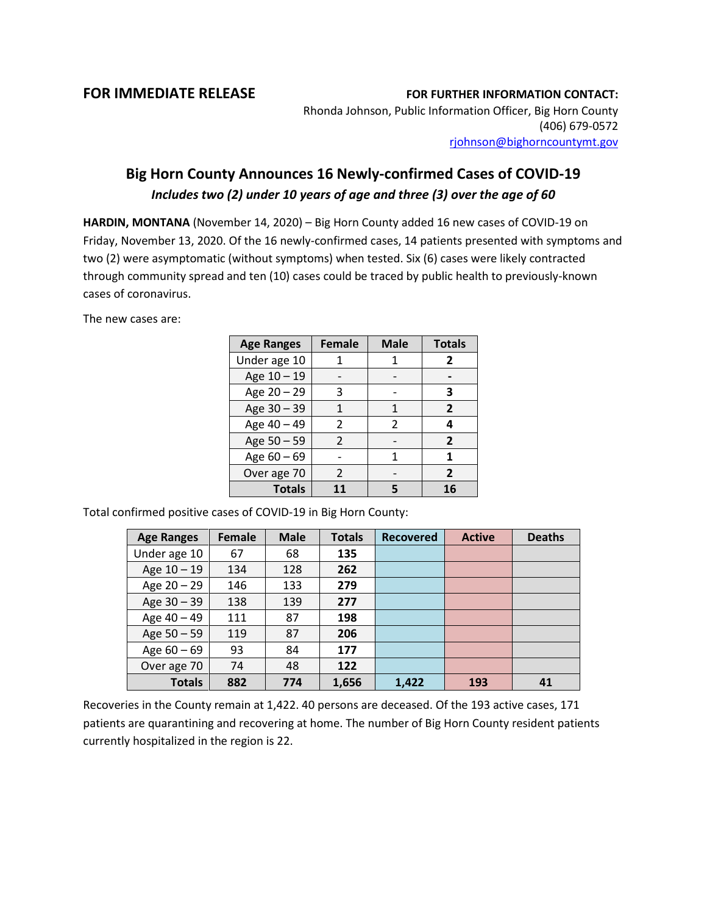## **FOR IMMEDIATE RELEASE FOR FURTHER INFORMATION CONTACT:**

Rhonda Johnson, Public Information Officer, Big Horn County (406) 679-0572 [rjohnson@bighorncountymt.gov](mailto:rjohnson@bighorncountymt.gov)

## **Big Horn County Announces 16 Newly-confirmed Cases of COVID-19** *Includes two (2) under 10 years of age and three (3) over the age of 60*

**HARDIN, MONTANA** (November 14, 2020) – Big Horn County added 16 new cases of COVID-19 on Friday, November 13, 2020. Of the 16 newly-confirmed cases, 14 patients presented with symptoms and two (2) were asymptomatic (without symptoms) when tested. Six (6) cases were likely contracted through community spread and ten (10) cases could be traced by public health to previously-known cases of coronavirus.

The new cases are:

| <b>Age Ranges</b> | <b>Female</b> | <b>Male</b> | <b>Totals</b>  |
|-------------------|---------------|-------------|----------------|
| Under age 10      |               |             | 2              |
| Age 10 - 19       |               |             |                |
| Age 20 - 29       | 3             |             | з              |
| Age 30 - 39       |               | 1           | $\overline{2}$ |
| Age 40 - 49       | $\mathcal{P}$ | C.          | 4              |
| Age 50 - 59       | $\mathcal{P}$ |             | $\overline{2}$ |
| Age $60 - 69$     |               | 1           | 1              |
| Over age 70       | $\mathcal{L}$ |             | $\overline{2}$ |
| <b>Totals</b>     | 11            | 5           | 16             |

Total confirmed positive cases of COVID-19 in Big Horn County:

| <b>Age Ranges</b> | Female | <b>Male</b> | <b>Totals</b> | <b>Recovered</b> | <b>Active</b> | <b>Deaths</b> |
|-------------------|--------|-------------|---------------|------------------|---------------|---------------|
| Under age 10      | 67     | 68          | 135           |                  |               |               |
| Age 10 - 19       | 134    | 128         | 262           |                  |               |               |
| Age $20 - 29$     | 146    | 133         | 279           |                  |               |               |
| Age 30 - 39       | 138    | 139         | 277           |                  |               |               |
| Age 40 - 49       | 111    | 87          | 198           |                  |               |               |
| Age $50 - 59$     | 119    | 87          | 206           |                  |               |               |
| Age $60 - 69$     | 93     | 84          | 177           |                  |               |               |
| Over age 70       | 74     | 48          | 122           |                  |               |               |
| <b>Totals</b>     | 882    | 774         | 1,656         | 1,422            | 193           | 41            |

Recoveries in the County remain at 1,422. 40 persons are deceased. Of the 193 active cases, 171 patients are quarantining and recovering at home. The number of Big Horn County resident patients currently hospitalized in the region is 22.